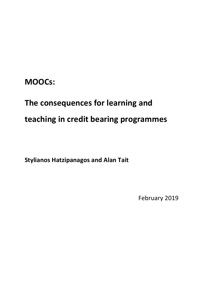# **MOOCs:**

# **The consequences for learning and teaching in credit bearing programmes**

**Stylianos Hatzipanagos and Alan Tait**

February 2019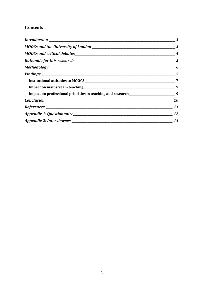## **Contents**

|  | $\overline{4}$ |
|--|----------------|
|  |                |
|  |                |
|  |                |
|  |                |
|  |                |
|  |                |
|  |                |
|  |                |
|  |                |
|  |                |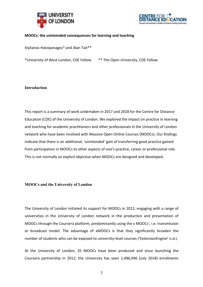



#### **MOOCs: the unintended consequences for learning and teaching**

Stylianos Hatzipanagos\* and Alan Tait\*\*

\*University of West London, CDE Fellow \*\* The Open University, CDE Fellow

#### **Introduction**

This report is a summary of work undertaken in 2017 and 2018 for the Centre for Distance Education (CDE) of the University of London. We explored the impact on practice in learning and teaching for academic practitioners and other professionals in the University of London network who have been involved with Massive Open Online Courses (MOOCs). Our findings indicate that there is an additional, 'unintended' gain of transferring good practice gained from participation in MOOCs to other aspects of one's practice, career or professional role. This is not normally an explicit objective when MOOCs are designed and developed.

#### **MOOCs and the University of London**

The University of London initiated its support for MOOCs in 2012, engaging with a range of universities in the University of London network in the production and presentation of MOOCs through the Coursera platform, predominantly using the x MOOCs', i.e. transmission or broadcast model. The advantage of xMOOCs is that they significantly broaden the number of students who can be exposed to university-level courses ('ExtensionEngine' n.d.).

At the University of London, 35 MOOCs have been produced and since launching the Coursera partnership in 2012, the University has seen 1,486,946 (July 2018) enrolments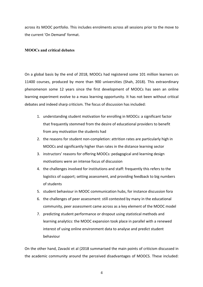across its MOOC portfolio. This includes enrolments across all sessions prior to the move to the current 'On Demand' format.

#### **MOOCs and critical debates**

On a global basis by the end of 2018, MOOCs had registered some 101 million learners on 11400 courses, produced by more than 900 universities (Shah, 2018). This extraordinary phenomenon some 12 years since the first development of MOOCs has seen an online learning experiment evolve to a mass learning opportunity. It has not been without critical debates and indeed sharp criticism. The focus of discussion has included:

- 1. understanding student motivation for enrolling in MOOCs: a significant factor that frequently stemmed from the desire of educational providers to benefit from any motivation the students had
- 2. the reasons for student non-completion: attrition rates are particularly high in MOOCs and significantly higher than rates in the distance learning sector
- 3. instructors' reasons for offering MOOCs: pedagogical and learning design motivations were an intense focus of discussion
- 4. the challenges involved for institutions and staff: frequently this refers to the logistics of support; setting assessment, and providing feedback to big numbers of students
- 5. student behaviour in MOOC communication hubs, for instance discussion fora
- 6. the challenges of peer assessment: still contested by many in the educational community, peer assessment came across as a key element of the MOOC model
- 7. predicting student performance or dropout using statistical methods and learning analytics: the MOOC expansion took place in parallel with a renewed interest of using online environment data to analyse and predict student behaviour

On the other hand, Zavacki et al (2018 summarised the main points of criticism discussed in the academic community around the perceived disadvantages of MOOCS. These included:

4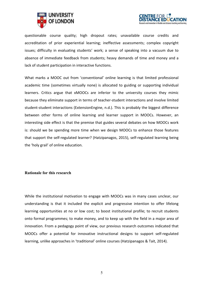



questionable course quality; high dropout rates; unavailable course credits and accreditation of prior experiential learning; ineffective assessments; complex copyright issues; difficulty in evaluating students' work; a sense of speaking into a vacuum due to absence of immediate feedback from students; heavy demands of time and money and a lack of student participation in interactive functions.

What marks a MOOC out from 'conventional' online learning is that limited professional academic time (sometimes virtually none) is allocated to guiding or supporting individual learners. Critics argue that xMOOCs are inferior to the university courses they mimic because they eliminate support in terms of teacher-student interactions and involve limited student-student interactions (ExtensionEngine, n.d.). This is probably the biggest difference between other forms of online learning and learner support in MOOCs. However, an interesting side effect is that the premise that guides several debates on how MOOCs work is: should we be spending more time when we design MOOCs to enhance those features that support the self-regulated learner? (Hatzipanagos, 2015), self-regulated learning being the 'holy grail' of online education.

#### **Rationale for this research**

While the institutional motivation to engage with MOOCs was in many cases unclear, our understanding is that it included the explicit and progressive intention to offer lifelong learning opportunities at no or low cost; to boost institutional profile; to recruit students onto formal programmes; to make money, and to keep up with the field in a major area of innovation. From a pedagogy point of view, our previous research outcomes indicated that MOOCs offer a potential for innovative instructional designs to support self-regulated learning, unlike approaches in 'traditional' online courses (Hatzipanagos & Tait, 2014).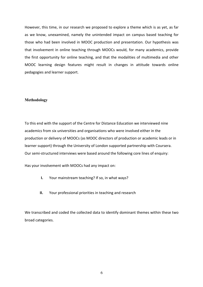However, this time, in our research we proposed to explore a theme which is as yet, as far as we know, unexamined, namely the unintended impact on campus based teaching for those who had been involved in MOOC production and presentation. Our hypothesis was that involvement in online teaching through MOOCs would, for many academics, provide the first opportunity for online teaching, and that the modalities of multimedia and other MOOC learning design features might result in changes in attitude towards online pedagogies and learner support.

#### **Methodology**

To this end with the support of the Centre for Distance Education we interviewed nine academics from six universities and organisations who were involved either in the production or delivery of MOOCs (as MOOC directors of production or academic leads or in learner support) through the University of London supported partnership with Coursera. Our semi-structured interviews were based around the following core lines of enquiry:

Has your involvement with MOOCs had any impact on:

- **I.** Your mainstream teaching? If so, in what ways?
- **II.** Your professional priorities in teaching and research

We transcribed and coded the collected data to identify dominant themes within these two broad categories.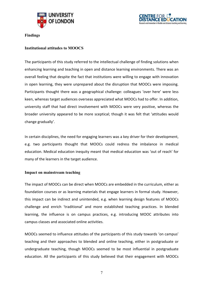



**Findings**

#### **Institutional attitudes to MOOCS**

The participants of this study referred to the intellectual challenge of finding solutions when enhancing learning and teaching in open and distance learning environments. There was an overall feeling that despite the fact that institutions were willing to engage with innovation in open learning, they were unprepared about the disruption that MOOCs were imposing. Participants thought there was a geographical challenge: colleagues 'over here' were less keen, whereas target audiences overseas appreciated what MOOCs had to offer. In addition, university staff that had direct involvement with MOOCs were very positive, whereas the broader university appeared to be more sceptical; though it was felt that 'attitudes would change gradually'.

In certain disciplines, the need for engaging learners was a key driver for their development, e.g. two participants thought that MOOCs could redress the imbalance in medical education. Medical education inequity meant that medical education was 'out of reach' for many of the learners in the target audience.

#### **Impact on mainstream teaching**

The impact of MOOCs can be direct when MOOCs are embedded in the curriculum, either as foundation courses or as learning materials that engage learners in formal study. However, this impact can be indirect and unintended, e.g. when learning design features of MOOCs challenge and enrich 'traditional' and more established teaching practices. In blended learning, the influence is on campus practices, e.g. introducing MOOC attributes into campus classes and associated online activities.

MOOCs seemed to influence attitudes of the participants of this study towards 'on campus' teaching and their approaches to blended and online teaching, either in postgraduate or undergraduate teaching, though MOOCs seemed to be most influential in postgraduate education. All the participants of this study believed that their engagement with MOOCs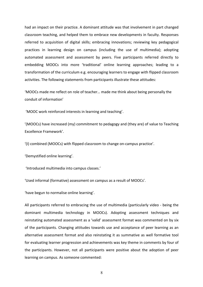had an impact on their practice. A dominant attitude was that involvement in part changed classroom teaching, and helped them to embrace new developments in faculty. Responses referred to acquisition of digital skills; embracing innovations; reviewing key pedagogical practices in learning design on campus (including the use of multimedia); adopting automated assessment and assessment by peers. Five participants referred directly to embedding MOOCs into more 'traditional' online learning approaches; leading to a transformation of the curriculum e.g. encouraging learners to engage with flipped classroom activities. The following statements from participants illustrate these attitudes:

'MOOCs made me reflect on role of teacher… made me think about being personally the conduit of information'

'MOOC work reinforced interests in learning and teaching'.

'(MOOCs) have increased (my) commitment to pedagogy and (they are) of value to Teaching Excellence Framework'.

'(I) combined (MOOCs) with flipped classroom to change on-campus practice'.

'Demystified online learning'.

'Introduced multimedia into campus classes.'

'Used informal (formative) assessment on campus as a result of MOOCs'.

'have begun to normalise online learning'.

All participants referred to embracing the use of multimedia (particularly video - being the dominant multimedia technology in MOOCs). Adopting assessment techniques and reinstating automated assessment as a 'valid' assessment format was commented on by six of the participants. Changing attitudes towards use and acceptance of peer learning as an alternative assessment format and also reinstating it as summative as well formative tool for evaluating learner progression and achievements was key theme in comments by four of the participants. However, not all participants were positive about the adoption of peer learning on campus. As someone commented:

8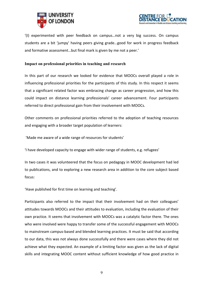



'(I) experimented with peer feedback on campus…not a very big success. On campus students are a bit 'jumpy' having peers giving grade…good for work in progress feedback and formative assessment…but final mark is given by me not a peer.'

#### **Impact on professional priorities in teaching and research**

In this part of our research we looked for evidence that MOOCs overall played a role in influencing professional priorities for the participants of this study. In this respect it seems that a significant related factor was embracing change as career progression, and how this could impact on distance learning professionals' career advancement. Four participants referred to direct professional gain from their involvement with MOOCs.

Other comments on professional priorities referred to the adoption of teaching resources and engaging with a broader target population of learners:

'Made me aware of a wide range of resources for students'

'I have developed capacity to engage with wider range of students, e.g. refugees'

In two cases it was volunteered that the focus on pedagogy in MOOC development had led to publications, and to exploring a new research area in addition to the core subject based focus:

'Have published for first time on learning and teaching'.

Participants also referred to the impact that their involvement had on their colleagues' attitudes towards MOOCs and their attitudes to evaluation, including the evaluation of their own practice. It seems that involvement with MOOCs was a catalytic factor there. The ones who were involved were happy to transfer some of the successful engagement with MOOCs to mainstream campus-based and blended learning practices. It must be said that according to our data, this was not always done successfully and there were cases where they did not achieve what they expected. An example of a limiting factor was given as the lack of digital skills and integrating MOOC content without sufficient knowledge of how good practice in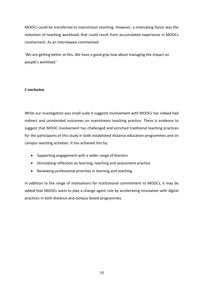MOOCs could be transferred to mainstream teaching. However, a motivating factor was the reduction of teaching workloads that could result from accumulated experience in MOOCs involvement. As an interviewee commented:

'We are getting better at this. We have a good grip now about managing the impact on people's workload.'

#### **Conclusion**

While our investigation was small scale it suggests involvement with MOOCs has indeed had indirect and unintended outcomes on mainstream teaching practice. There is evidence to suggest that MOOC involvement has challenged and enriched traditional teaching practices for the participants of this study in both established distance education programmes and on campus teaching activities. It has achieved this by:

- Supporting engagement with a wider range of learners
- Stimulating reflection on learning, teaching and assessment practice
- Reviewing professional priorities in learning and teaching

In addition to the range of motivations for institutional commitment to MOOCs, it may be added that MOOCs seem to play a change agent role by accelerating innovation with digital practices in both distance and campus based programmes.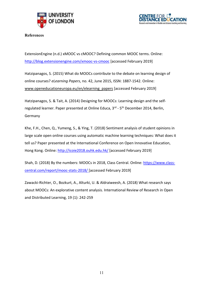



**References**

ExtensionEngine (n.d.) xMOOC vs cMOOC? Defining common MOOC terms. Online: http://blog.extensionengine.com/xmooc-vs-cmooc [accessed February 2019]

Hatzipanagos, S. (2015) What do MOOCs contribute to the debate on learning design of online courses? *eLearning Papers*, no. 42, June 2015, ISSN: 1887-1542. Online: www.openeducationeuropa.eu/en/elearning\_papers [accessed February 2019]

Hatzipanagos, S. & Tait, A. (2014) Designing for MOOCs: Learning design and the selfregulated learner. Paper presented at Online Educa, 3rd - 5th December 2014, Berlin, Germany

Khe, F.H., Chen, Q., Yumeng, S., & Ying, T. (2018) Sentiment analysis of student opinions in large scale open online courses using automatic machine learning techniques: What does it tell us? Paper presented at the International Conference on Open Innovative Education, Hong Kong. Online: http://icoie2018.ouhk.edu.hk/ [accessed February 2019]

Shah, D. (2018) By the numbers: MOOCs in 2018, Class Central. Online: https://www.classcentral.com/report/mooc-stats-2018/ [accessed February 2019]

Zawacki-Richter, O., Bozkurt, A., Alturki, U. & Aldraiweesh, A. (2018) What research says about MOOCs: An explorative content analysis. International Review of Research in Open and Distributed Learning, 19 (1): 242-259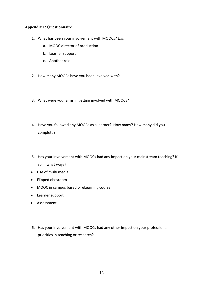#### **Appendix 1: Questionnaire**

- 1. What has been your involvement with MOOCs? E.g.
	- a. MOOC director of production
	- b. Learner support
	- c. Another role
- 2. How many MOOCs have you been involved with?
- 3. What were your aims in getting involved with MOOCs?
- 4. Have you followed any MOOCs as a learner? How many? How many did you complete?
- 5. Has your involvement with MOOCs had any impact on your mainstream teaching? If so, if what ways?
- Use of multi media
- Flipped classroom
- MOOC in campus based or eLearning course
- Learner support
- Assessment
- 6. Has your involvement with MOOCs had any other impact on your professional priorities in teaching or research?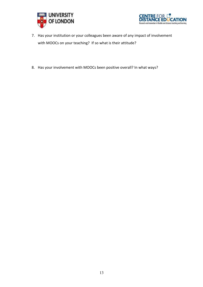



- 7. Has your institution or your colleagues been aware of any impact of involvement with MOOCs on your teaching? If so what is their attitude?
- 8. Has your involvement with MOOCs been positive overall? In what ways?